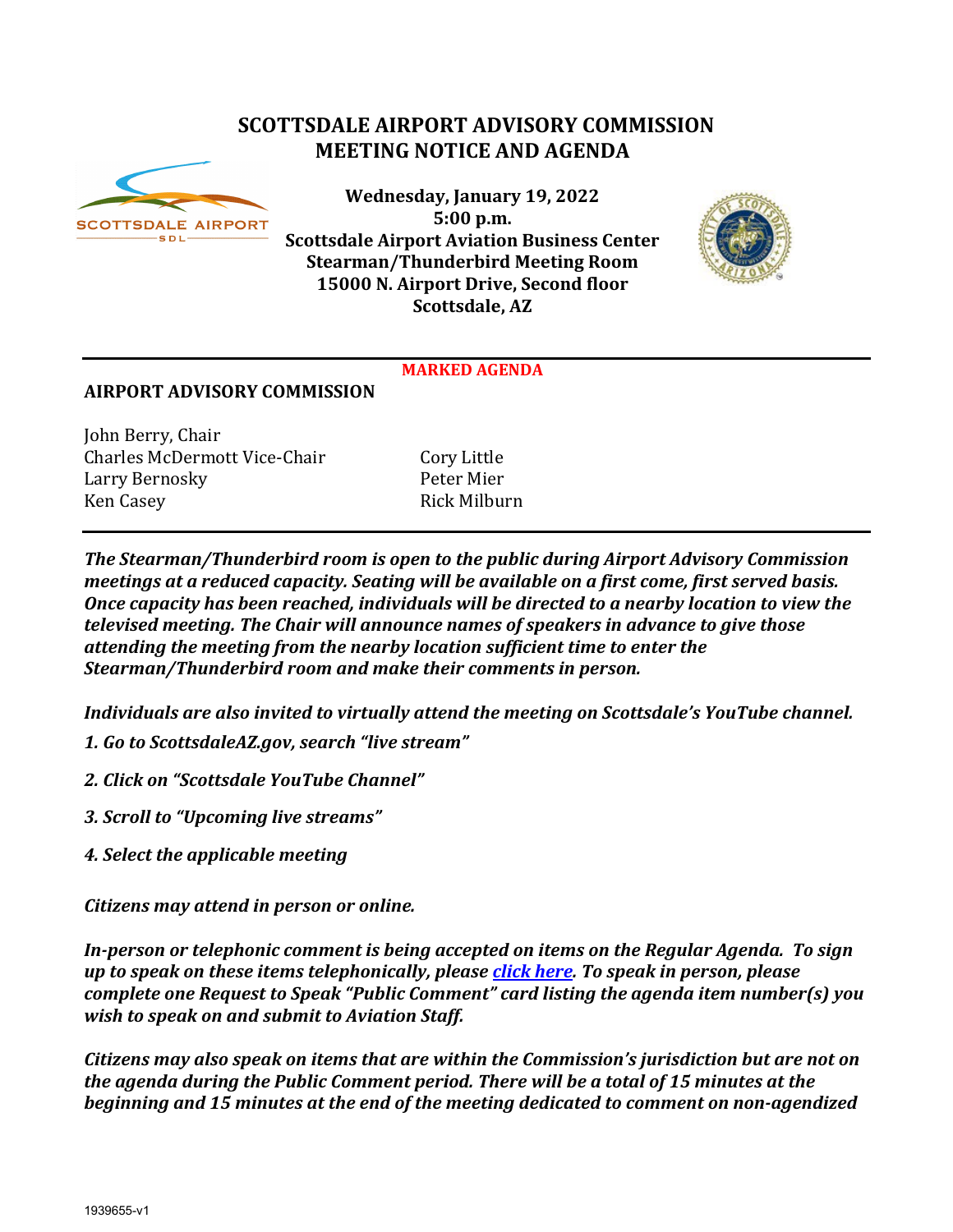# **SCOTTSDALE AIRPORT ADVISORY COMMISSION MEETING NOTICE AND AGENDA**



**Wednesday, January 19, 2022 5:00 p.m. Scottsdale Airport Aviation Business Center Stearman/Thunderbird Meeting Room 15000 N. Airport Drive, Second floor Scottsdale, AZ**



#### **MARKED AGENDA**

#### **AIRPORT ADVISORY COMMISSION**

John Berry, Chair Charles McDermott Vice-Chair Cory Little Larry Bernosky Ken Casey **Rick Milburn** 

*The Stearman/Thunderbird room is open to the public during Airport Advisory Commission meetings at a reduced capacity. Seating will be available on a first come, first served basis. Once capacity has been reached, individuals will be directed to a nearby location to view the televised meeting. The Chair will announce names of speakers in advance to give those attending the meeting from the nearby location sufficient time to enter the Stearman/Thunderbird room and make their comments in person.*

*Individuals are also invited to virtually attend the meeting on Scottsdale's YouTube channel.*

- *1. Go to ScottsdaleAZ.gov, search "live stream"*
- *2. Click on "Scottsdale YouTube Channel"*
- *3. Scroll to "Upcoming live streams"*
- *4. Select the applicable meeting*

*Citizens may attend in person or online.* 

*In-person or telephonic comment is being accepted on items on the Regular Agenda. To sign up to speak on these items telephonically, please [click here.](https://www.scottsdaleaz.gov/boards/airport-advisory-commission/spoken-comment) To speak in person, please complete one Request to Speak "Public Comment" card listing the agenda item number(s) you wish to speak on and submit to Aviation Staff.*

*Citizens may also speak on items that are within the Commission's jurisdiction but are not on the agenda during the Public Comment period. There will be a total of 15 minutes at the beginning and 15 minutes at the end of the meeting dedicated to comment on non-agendized*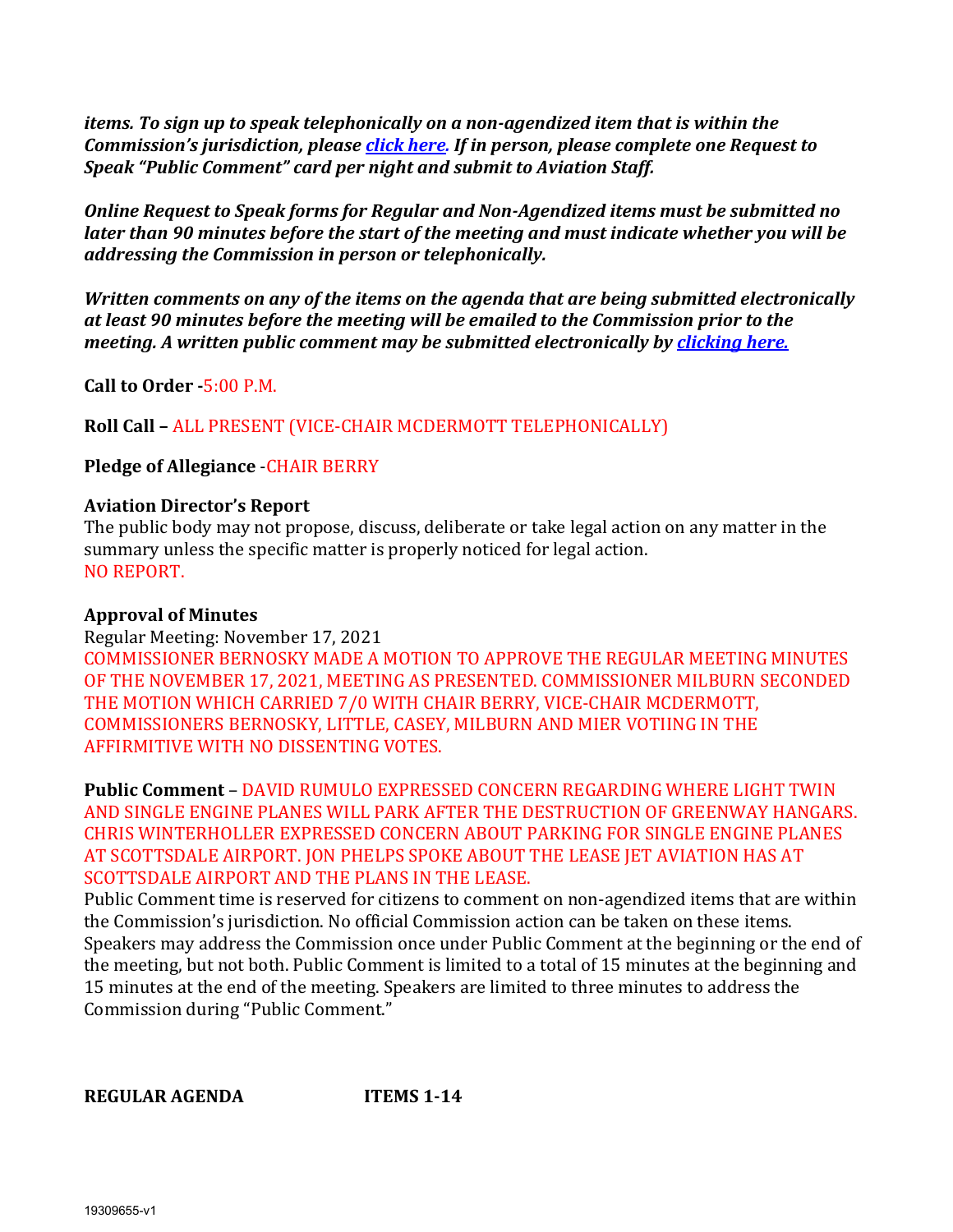*items. To sign up to speak telephonically on a non-agendized item that is within the Commission's jurisdiction, please [click here.](https://www.scottsdaleaz.gov/boards/airport-advisory-commission/spoken-comment) If in person, please complete one Request to Speak "Public Comment" card per night and submit to Aviation Staff.*

*Online Request to Speak forms for Regular and Non-Agendized items must be submitted no later than 90 minutes before the start of the meeting and must indicate whether you will be addressing the Commission in person or telephonically.* 

*Written comments on any of the items on the agenda that are being submitted electronically at least 90 minutes before the meeting will be emailed to the Commission prior to the meeting. A written public comment may be submitted electronically by [clicking here.](https://www.scottsdaleaz.gov/boards/airport-advisory-commission/public-comment)*

**Call to Order -**5:00 P.M.

**Roll Call –** ALL PRESENT (VICE-CHAIR MCDERMOTT TELEPHONICALLY)

# **Pledge of Allegiance** -CHAIR BERRY

### **Aviation Director's Report**

The public body may not propose, discuss, deliberate or take legal action on any matter in the summary unless the specific matter is properly noticed for legal action. NO REPORT.

### **Approval of Minutes**

Regular Meeting: November 17, 2021 COMMISSIONER BERNOSKY MADE A MOTION TO APPROVE THE REGULAR MEETING MINUTES OF THE NOVEMBER 17, 2021, MEETING AS PRESENTED. COMMISSIONER MILBURN SECONDED THE MOTION WHICH CARRIED 7/0 WITH CHAIR BERRY, VICE-CHAIR MCDERMOTT, COMMISSIONERS BERNOSKY, LITTLE, CASEY, MILBURN AND MIER VOTIING IN THE AFFIRMITIVE WITH NO DISSENTING VOTES.

**Public Comment** – DAVID RUMULO EXPRESSED CONCERN REGARDING WHERE LIGHT TWIN AND SINGLE ENGINE PLANES WILL PARK AFTER THE DESTRUCTION OF GREENWAY HANGARS. CHRIS WINTERHOLLER EXPRESSED CONCERN ABOUT PARKING FOR SINGLE ENGINE PLANES AT SCOTTSDALE AIRPORT. JON PHELPS SPOKE ABOUT THE LEASE JET AVIATION HAS AT SCOTTSDALE AIRPORT AND THE PLANS IN THE LEASE.

Public Comment time is reserved for citizens to comment on non-agendized items that are within the Commission's jurisdiction. No official Commission action can be taken on these items. Speakers may address the Commission once under Public Comment at the beginning or the end of the meeting, but not both. Public Comment is limited to a total of 15 minutes at the beginning and 15 minutes at the end of the meeting. Speakers are limited to three minutes to address the Commission during "Public Comment."

**REGULAR AGENDA ITEMS 1-14**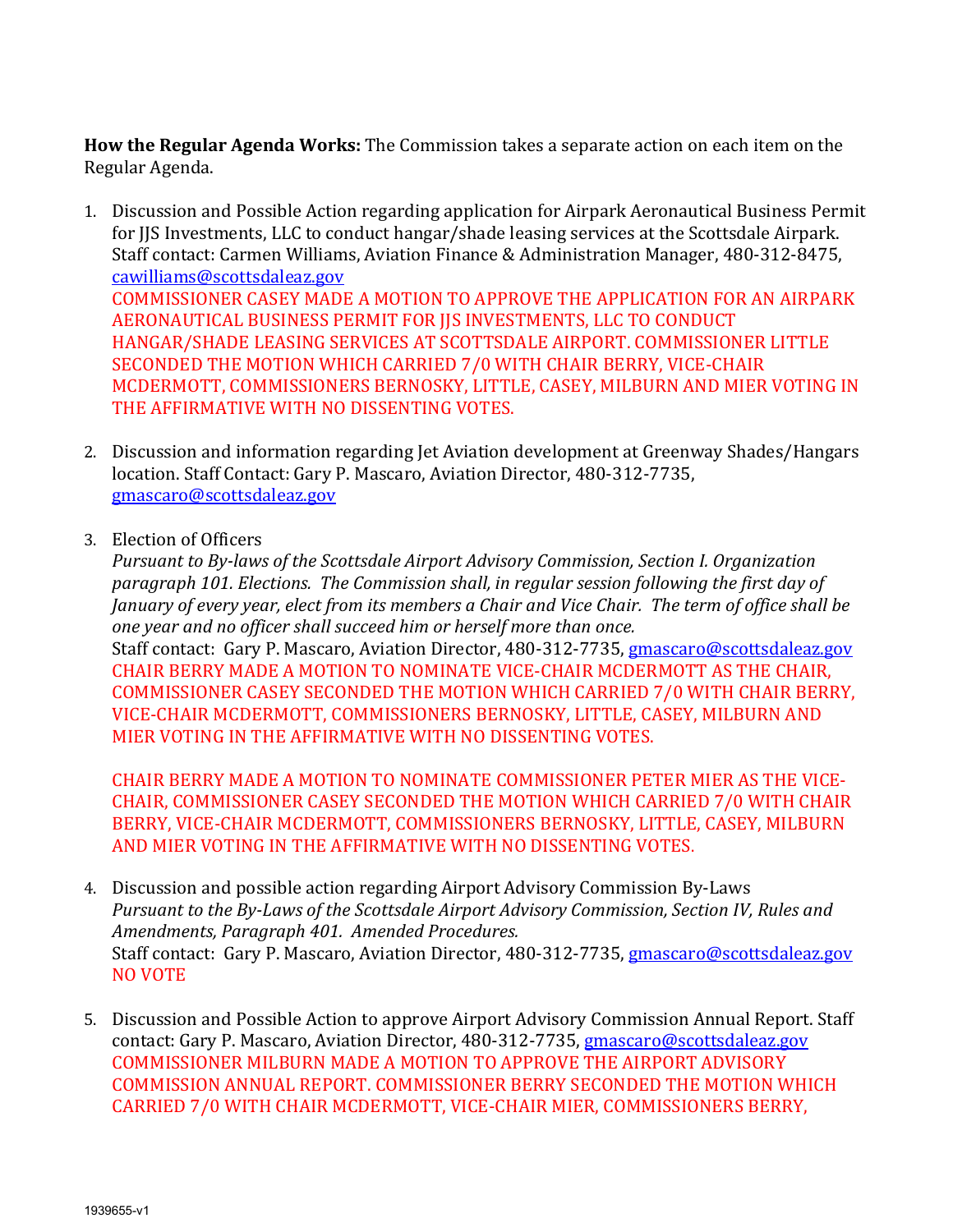**How the Regular Agenda Works:** The Commission takes a separate action on each item on the Regular Agenda.

- 1. Discussion and Possible Action regarding application for Airpark Aeronautical Business Permit for JJS Investments, LLC to conduct hangar/shade leasing services at the Scottsdale Airpark. Staff contact: Carmen Williams, Aviation Finance & Administration Manager, 480-312-8475, [cawilliams@scottsdaleaz.gov](mailto:cawilliams@scottsdaleaz.gov) COMMISSIONER CASEY MADE A MOTION TO APPROVE THE APPLICATION FOR AN AIRPARK AERONAUTICAL BUSINESS PERMIT FOR JJS INVESTMENTS, LLC TO CONDUCT HANGAR/SHADE LEASING SERVICES AT SCOTTSDALE AIRPORT. COMMISSIONER LITTLE SECONDED THE MOTION WHICH CARRIED 7/0 WITH CHAIR BERRY, VICE-CHAIR MCDERMOTT, COMMISSIONERS BERNOSKY, LITTLE, CASEY, MILBURN AND MIER VOTING IN THE AFFIRMATIVE WITH NO DISSENTING VOTES.
- 2. Discussion and information regarding Jet Aviation development at Greenway Shades/Hangars location. Staff Contact: Gary P. Mascaro, Aviation Director, 480-312-7735, [gmascaro@scottsdaleaz.gov](mailto:gmascaro@scottsdaleaz.gov)
- 3. Election of Officers

*Pursuant to By-laws of the Scottsdale Airport Advisory Commission, Section I. Organization paragraph 101. Elections. The Commission shall, in regular session following the first day of January of every year, elect from its members a Chair and Vice Chair. The term of office shall be one year and no officer shall succeed him or herself more than once.* Staff contact: Gary P. Mascaro, Aviation Director, 480-312-7735, [gmascaro@scottsdaleaz.gov](mailto:gmascaro@scottsdaleaz.gov) CHAIR BERRY MADE A MOTION TO NOMINATE VICE-CHAIR MCDERMOTT AS THE CHAIR, COMMISSIONER CASEY SECONDED THE MOTION WHICH CARRIED 7/0 WITH CHAIR BERRY, VICE-CHAIR MCDERMOTT, COMMISSIONERS BERNOSKY, LITTLE, CASEY, MILBURN AND MIER VOTING IN THE AFFIRMATIVE WITH NO DISSENTING VOTES.

CHAIR BERRY MADE A MOTION TO NOMINATE COMMISSIONER PETER MIER AS THE VICE-CHAIR, COMMISSIONER CASEY SECONDED THE MOTION WHICH CARRIED 7/0 WITH CHAIR BERRY, VICE-CHAIR MCDERMOTT, COMMISSIONERS BERNOSKY, LITTLE, CASEY, MILBURN AND MIER VOTING IN THE AFFIRMATIVE WITH NO DISSENTING VOTES.

- 4. Discussion and possible action regarding Airport Advisory Commission By-Laws *Pursuant to the By-Laws of the Scottsdale Airport Advisory Commission, Section IV, Rules and Amendments, Paragraph 401. Amended Procedures.* Staff contact: Gary P. Mascaro, Aviation Director, 480-312-7735, [gmascaro@scottsdaleaz.gov](mailto:gmascaro@scottsdaleaz.gov) NO VOTE
- 5. Discussion and Possible Action to approve Airport Advisory Commission Annual Report. Staff contact: Gary P. Mascaro, Aviation Director, 480-312-7735, [gmascaro@scottsdaleaz.gov](mailto:gmascaro@scottsdaleaz.gov) COMMISSIONER MILBURN MADE A MOTION TO APPROVE THE AIRPORT ADVISORY COMMISSION ANNUAL REPORT. COMMISSIONER BERRY SECONDED THE MOTION WHICH CARRIED 7/0 WITH CHAIR MCDERMOTT, VICE-CHAIR MIER, COMMISSIONERS BERRY,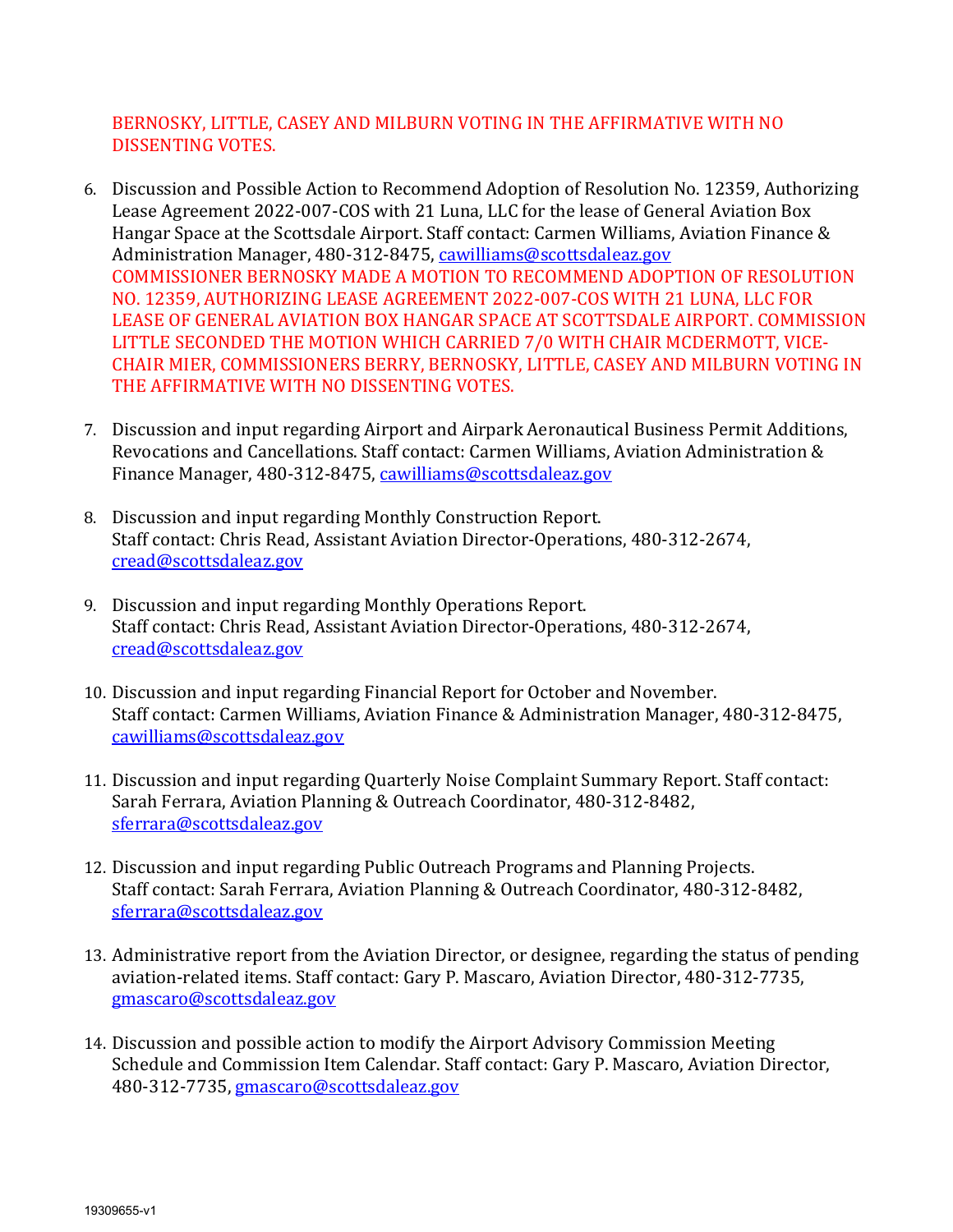### BERNOSKY, LITTLE, CASEY AND MILBURN VOTING IN THE AFFIRMATIVE WITH NO DISSENTING VOTES.

- 6. Discussion and Possible Action to Recommend Adoption of Resolution No. 12359, Authorizing Lease Agreement 2022-007-COS with 21 Luna, LLC for the lease of General Aviation Box Hangar Space at the Scottsdale Airport. Staff contact: Carmen Williams, Aviation Finance & Administration Manager, 480-312-8475, [cawilliams@scottsdaleaz.gov](mailto:cawilliams@scottsdaleaz.gov) COMMISSIONER BERNOSKY MADE A MOTION TO RECOMMEND ADOPTION OF RESOLUTION NO. 12359, AUTHORIZING LEASE AGREEMENT 2022-007-COS WITH 21 LUNA, LLC FOR LEASE OF GENERAL AVIATION BOX HANGAR SPACE AT SCOTTSDALE AIRPORT. COMMISSION LITTLE SECONDED THE MOTION WHICH CARRIED 7/0 WITH CHAIR MCDERMOTT, VICE-CHAIR MIER, COMMISSIONERS BERRY, BERNOSKY, LITTLE, CASEY AND MILBURN VOTING IN THE AFFIRMATIVE WITH NO DISSENTING VOTES.
- 7. Discussion and input regarding Airport and Airpark Aeronautical Business Permit Additions, Revocations and Cancellations. Staff contact: Carmen Williams, Aviation Administration & Finance Manager, 480-312-8475, [cawilliams@scottsdaleaz.gov](mailto:cawilliams@scottsdaleaz.gov)
- 8. Discussion and input regarding Monthly Construction Report. Staff contact: Chris Read, Assistant Aviation Director-Operations, 480-312-2674, [cread@scottsdaleaz.gov](mailto:cread@scottsdaleaz.gov)
- 9. Discussion and input regarding Monthly Operations Report. Staff contact: Chris Read, Assistant Aviation Director-Operations, 480-312-2674, [cread@scottsdaleaz.gov](mailto:cread@scottsdaleaz.gov)
- 10. Discussion and input regarding Financial Report for October and November. Staff contact: Carmen Williams, Aviation Finance & Administration Manager, 480-312-8475, [cawilliams@scottsdaleaz.gov](mailto:cawilliams@scottsdaleaz.gov)
- 11. Discussion and input regarding Quarterly Noise Complaint Summary Report. Staff contact: Sarah Ferrara, Aviation Planning & Outreach Coordinator, 480-312-8482, [sferrara@scottsdaleaz.gov](mailto:sferrara@scottsdaleaz.gov)
- 12. Discussion and input regarding Public Outreach Programs and Planning Projects. Staff contact: Sarah Ferrara, Aviation Planning & Outreach Coordinator, 480-312-8482, [sferrara@scottsdaleaz.gov](mailto:sferrara@scottsdaleaz.gov)
- 13. Administrative report from the Aviation Director, or designee, regarding the status of pending aviation-related items. Staff contact: Gary P. Mascaro, Aviation Director, 480-312-7735, [gmascaro@scottsdaleaz.gov](mailto:gmascaro@scottsdaleaz.gov)
- 14. Discussion and possible action to modify the Airport Advisory Commission Meeting Schedule and Commission Item Calendar. Staff contact: Gary P. Mascaro, Aviation Director, 480-312-7735, [gmascaro@scottsdaleaz.gov](mailto:gmascaro@scottsdaleaz.gov)